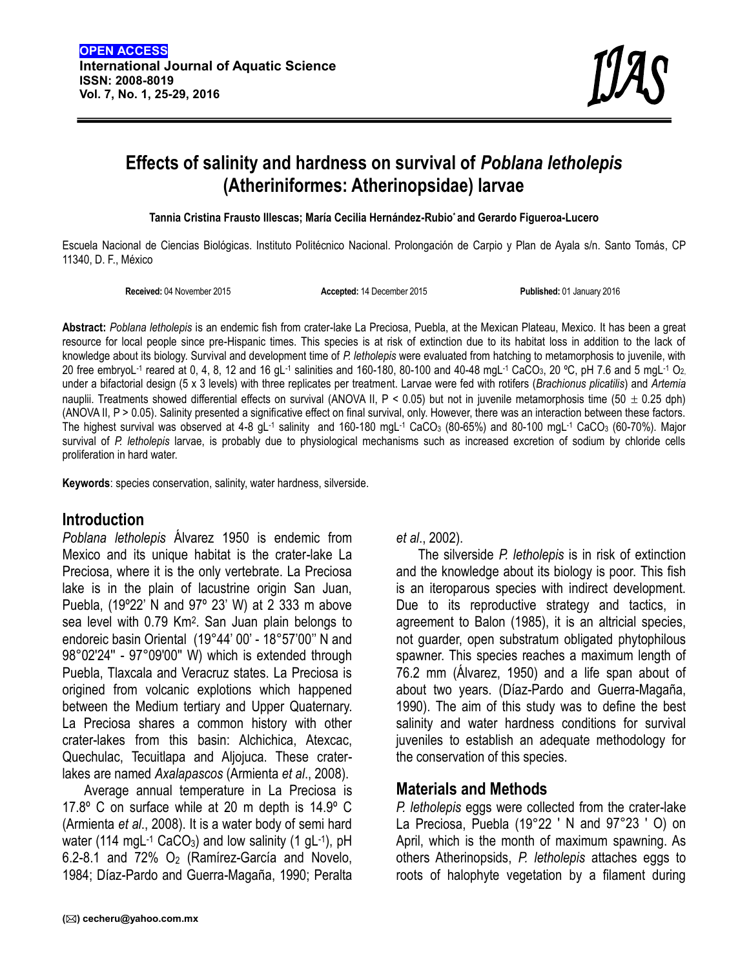# **Effects of salinity and hardness on survival of** *Poblana letholepis* **(Atheriniformes: Atherinopsidae) larvae**

**Tannia Cristina Frausto Illescas; María Cecilia Hernández-Rubio\* and Gerardo Figueroa-Lucero**

Escuela Nacional de Ciencias Biológicas. Instituto Politécnico Nacional. Prolongación de Carpio y Plan de Ayala s/n. Santo Tomás, CP 11340, D. F., México

**Received:** 04 November 2015 **Accepted:** 14 December 2015 **Published:** 01 January 2016

**Abstract:** *Poblana letholepis* is an endemic fish from crater-lake La Preciosa, Puebla, at the Mexican Plateau, Mexico. It has been a great resource for local people since pre-Hispanic times. This species is at risk of extinction due to its habitat loss in addition to the lack of knowledge about its biology. Survival and development time of *P. letholepis* were evaluated from hatching to metamorphosis to juvenile, with 20 free embryoL-1 reared at 0, 4, 8, 12 and 16 gL-1 salinities and 160-180, 80-100 and 40-48 mgL-1 CaCO $_3$ , 20 °C, pH 7.6 and 5 mgL-1 O $_2$ under a bifactorial design (5 x 3 levels) with three replicates per treatment. Larvae were fed with rotifers (*Brachionus plicatilis*) and *Artemia* nauplii. Treatments showed differential effects on survival (ANOVA II,  $P < 0.05$ ) but not in juvenile metamorphosis time (50  $\pm$  0.25 dph) (ANOVA II, P > 0.05). Salinity presented a significative effect on final survival, only. However, there was an interaction between these factors. The highest survival was observed at 4-8 gL<sup>-1</sup> salinity and 160-180 mgL<sup>-1</sup> CaCO<sub>3</sub> (80-65%) and 80-100 mgL<sup>-1</sup> CaCO<sub>3</sub> (60-70%). Major survival of *P. letholepis* larvae, is probably due to physiological mechanisms such as increased excretion of sodium by chloride cells proliferation in hard water.

**Keywords**: species conservation, salinity, water hardness, silverside.

### **Introduction**

*Poblana letholepis* Álvarez 1950 is endemic from Mexico and its unique habitat is the crater-lake La Preciosa, where it is the only vertebrate. La Preciosa lake is in the plain of lacustrine origin San Juan, Puebla, (19º22' N and 97º 23' W) at 2 333 m above sea level with 0.79 Km<sup>2</sup> . San Juan plain belongs to endoreic basin Oriental (19°44' 00' - 18°57'00'' N and 98°02'24'' - 97°09'00'' W) which is extended through Puebla, Tlaxcala and Veracruz states. La Preciosa is origined from volcanic explotions which happened between the Medium tertiary and Upper Quaternary. La Preciosa shares a common history with other crater-lakes from this basin: Alchichica, Atexcac, Quechulac, Tecuitlapa and Aljojuca. These craterlakes are named *Axalapascos* (Armienta *et al*., 2008).

Average annual temperature in La Preciosa is 17.8º C on surface while at 20 m depth is 14.9º C (Armienta *et al*., 2008). It is a water body of semi hard water (114 mgL<sup>-1</sup> CaCO<sub>3</sub>) and low salinity (1 gL<sup>-1</sup>), pH \_ \_ \_ Apr  $6.2 - 8.1$  and  $72\%$  O<sub>2</sub> (Ramírez-García and Novelo, 1984; Díaz-Pardo and Guerra-Magaña, 1990; Peralta

*et al*., 2002).

The silverside *P. letholepis* is in risk of extinction and the knowledge about its biology is poor. This fish is an iteroparous species with indirect development. Due to its reproductive strategy and tactics, in agreement to Balon (1985), it is an altricial species, not guarder, open substratum obligated phytophilous spawner. This species reaches a maximum length of 76.2 mm (Álvarez, 1950) and a life span about of about two years. (Díaz-Pardo and Guerra-Magaña, 1990). The aim of this study was to define the best salinity and water hardness conditions for survival juveniles to establish an adequate methodology for the conservation of this species.

### **Materials and Methods**

*P. letholepis* eggs were collected from the crater-lake La Preciosa, Puebla (19°22 ′ N and 97°23 ′ O) on April, which is the month of maximum spawning. As others Atherinopsids, *P. letholepis* attaches eggs to roots of halophyte vegetation by a filament during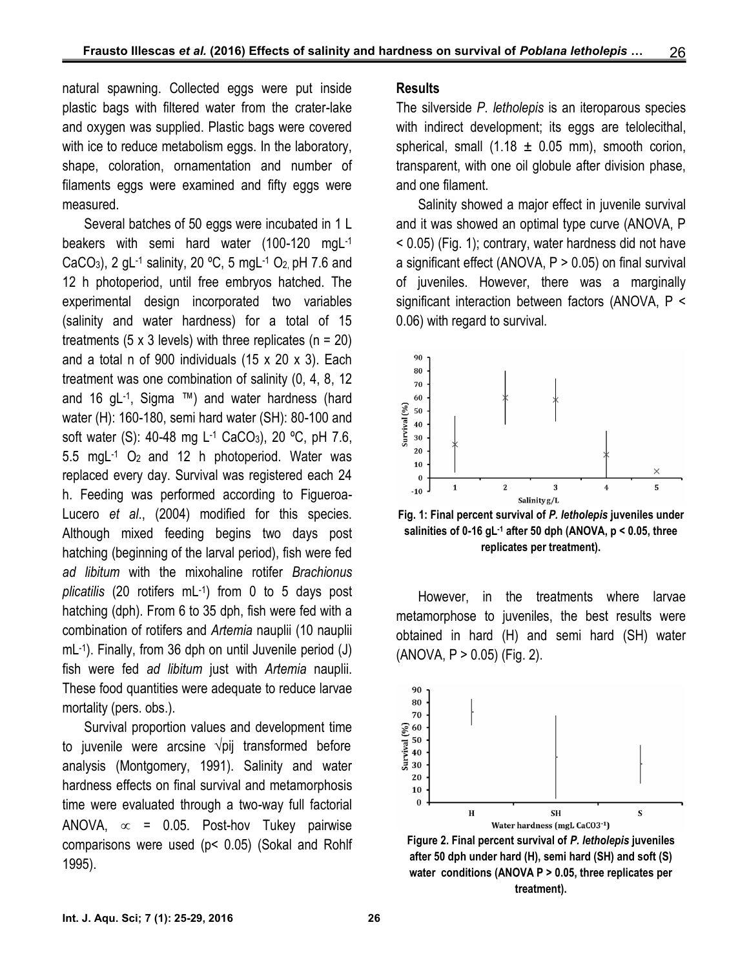natural spawning. Collected eggs were put inside plastic bags with filtered water from the crater-lake and oxygen was supplied. Plastic bags were covered with ice to reduce metabolism eggs. In the laboratory, shape, coloration, ornamentation and number of filaments eggs were examined and fifty eggs were measured.

Several batches of 50 eggs were incubated in 1 L beakers with semi hard water (100-120 mgL-1 CaCO<sub>3</sub>), 2 gL<sup>-1</sup> salinity, 20 °C, 5 mgL<sup>-1</sup> O<sub>2,</sub> pH 7.6 and a 12 h photoperiod, until free embryos hatched. The experimental design incorporated two variables (salinity and water hardness) for a total of 15 treatments (5 x 3 levels) with three replicates ( $n = 20$ ) and a total n of 900 individuals (15 x 20 x 3). Each treatment was one combination of salinity (0, 4, 8, 12 and 16 gL-1 , Sigma ™) and water hardness (hard water (H): 160-180, semi hard water (SH): 80-100 and<br>soft water (S): 40-48 mg L<sup>-1</sup> CaCO<sub>3</sub>), 20 °C, pH 7.6, soft water (S): 40-48 mg L-1 CaCO3), 20 ºC, pH 7.6, 5.5 mgL-1 O<sup>2</sup> and 12 h photoperiod. Water was replaced every day. Survival was registered each 24 h. Feeding was performed according to Figueroa- Lucero *et al*., (2004) modified for this species. Although mixed feeding begins two days post hatching (beginning of the larval period), fish were fed *ad libitum* with the mixohaline rotifer *Brachionus plicatilis* (20 rotifers mL-1 ) from 0 to 5 days post hatching (dph). From 6 to 35 dph, fish were fed with a combination of rotifers and *Artemia* nauplii (10 nauplii mL-1 ). Finally, from 36 dph on until Juvenile period (J) fish were fed *ad libitum* just with *Artemia* nauplii. These food quantities were adequate to reduce larvae mortality (pers. obs.).

Survival proportion values and development time<br>
juvenile were arcsine  $\sqrt{pi}$  transformed before<br>
lysis (Montgomery, 1991). Salinity and water to juvenile were arcsine √pij transformed before analysis (Montgomery, 1991). Salinity and water hardness effects on final survival and metamorphosis time were evaluated through a two-way full factorial ANOVA,  $\infty$  = 0.05. Post-hov Tukey pairwise comparisons were used (p< 0.05) (Sokal and Rohlf 1995).

#### **Results**

The silverside *P. letholepis* is an iteroparous species with indirect development; its eggs are telolecithal, spherical, small  $(1.18 \pm 0.05 \text{ mm})$ , smooth corion, transparent, with one oil globule after division phase, and one filament.

Salinity showed a major effect in juvenile survival and it was showed an optimal type curve (ANOVA, P < 0.05) (Fig. 1); contrary, water hardness did not have a significant effect (ANOVA,  $P > 0.05$ ) on final survival of juveniles. However, there was a marginally significant interaction between factors (ANOVA, P < 0.06) with regard to survival.



**Fig. 1: Final percent survival of** *P. letholepis* **juveniles under salinities of 0-16 gL-1 after 50 dph (ANOVA, p < 0.05, three replicates per treatment).**

However, in the treatments where larvae metamorphose to juveniles, the best results were obtained in hard (H) and semi hard (SH) water  $(ANOVA, P > 0.05)$  (Fig. 2).



**Figure 2. Final percent survival of** *P. letholepis* **juveniles after 50 dph under hard (H), semi hard (SH) and soft (S) water conditions (ANOVA P > 0.05, three replicates per treatment).**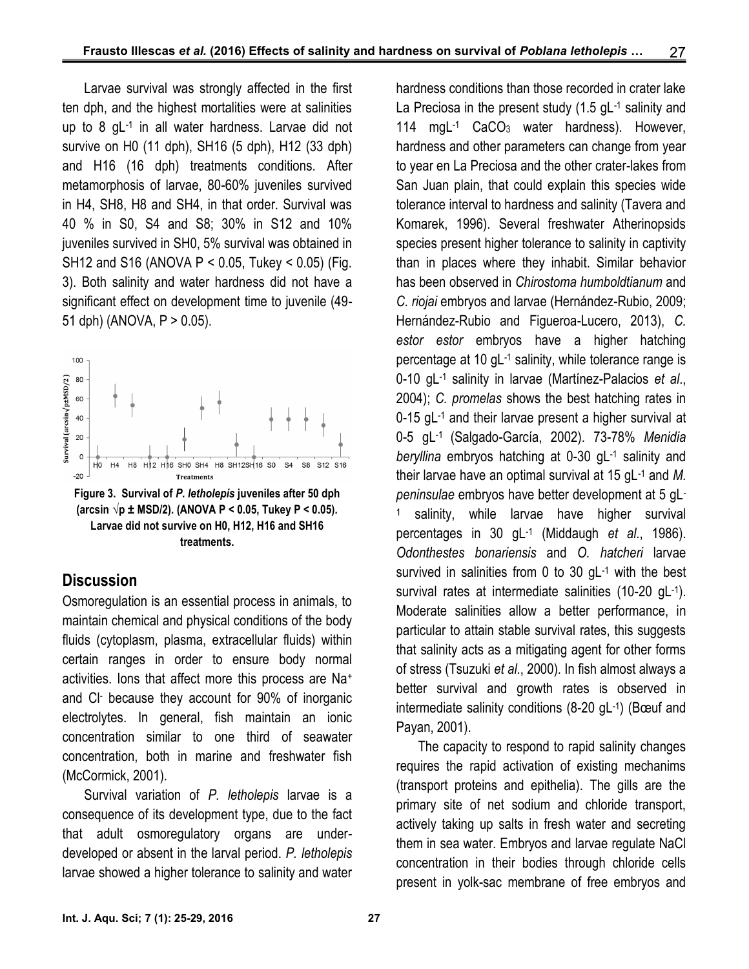Larvae survival was strongly affected in the first ten dph, and the highest mortalities were at salinities up to 8 gL-1 in all water hardness. Larvae did not survive on H0 (11 dph), SH16 (5 dph), H12 (33 dph) and H16 (16 dph) treatments conditions. After metamorphosis of larvae, 80-60% juveniles survived in H4, SH8, H8 and SH4, in that order. Survival was 40 % in S0, S4 and S8; 30% in S12 and 10% juveniles survived in SH0, 5% survival was obtained in SH12 and S16 (ANOVA P < 0.05, Tukey < 0.05) (Fig. 3). Both salinity and water hardness did not have a significant effect on development time to juvenile (49- 51 dph) (ANOVA, P > 0.05).



**(arcsin √p ± MSD/2). (ANOVA P < 0.05, Tukey P < 0.05). Larvae did not survive on H0, H12, H16 and SH16 treatments.**

### **Discussion**

Osmoregulation is an essential process in animals, to maintain chemical and physical conditions of the body fluids (cytoplasm, plasma, extracellular fluids) within certain ranges in order to ensure body normal activities. Ions that affect more this process are Na<sup>+</sup> and Cl- because they account for 90% of inorganic electrolytes. In general, fish maintain an ionic concentration similar to one third of seawater concentration, both in marine and freshwater fish (McCormick, 2001).

Survival variation of *P. letholepis* larvae is a consequence of its development type, due to the fact that adult osmoregulatory organs are under developed or absent in the larval period. *P. letholepis* larvae showed a higher tolerance to salinity and water hardness conditions than those recorded in crater lake La Preciosa in the present study (1.5 gL<sup>-1</sup> salinity and 114 mgL-1 CaCO3 water hardness). However, hardness and other parameters can change from year to year en La Preciosa and the other crater-lakes from San Juan plain, that could explain this species wide tolerance interval to hardness and salinity (Tavera and Komarek, 1996). Several freshwater Atherinopsids species present higher tolerance to salinity in captivity than in places where they inhabit. Similar behavior has been observed in *Chirostoma humboldtianum* and *C. riojai* embryos and larvae (Hernández-Rubio, 2009; Hernández-Rubio and Figueroa-Lucero, 2013), *C. estor estor* embryos have a higher hatching percentage at 10 gL-1 salinity, while tolerance range is 0-10 gL-1 salinity in larvae (Martínez-Palacios *et al*., 2004); *C. promelas* shows the best hatching rates in 0-15 gL-1 and their larvae present a higher survival at 0-5 gL-1 (Salgado-García, 2002). 73-78% *Menidia beryllina* embryos hatching at 0-30 gL-1 salinity and their larvae have an optimal survival at 15 gL-1 and *M. peninsulae* embryos have better development at 5 gL- 1 salinity, while larvae have higher survival percentages in 30 gL-1 (Middaugh *et al*., 1986). *Odonthestes bonariensis* and *O. hatcheri* larvae survived in salinities from 0 to 30 gL-1 with the best survival rates at intermediate salinities (10-20 gL-1). Moderate salinities allow a better performance, in particular to attain stable survival rates, this suggests that salinity acts as a mitigating agent for other forms of stress (Tsuzuki *et al*., 2000). In fish almost always a better survival and growth rates is observed in intermediate salinity conditions (8-20 gL-1 ) (Bœuf and Payan, 2001).

The capacity to respond to rapid salinity changes requires the rapid activation of existing mechanims (transport proteins and epithelia). The gills are the primary site of net sodium and chloride transport, actively taking up salts in fresh water and secreting them in sea water. Embryos and larvae regulate NaCl concentration in their bodies through chloride cells present in yolk-sac membrane of free embryos and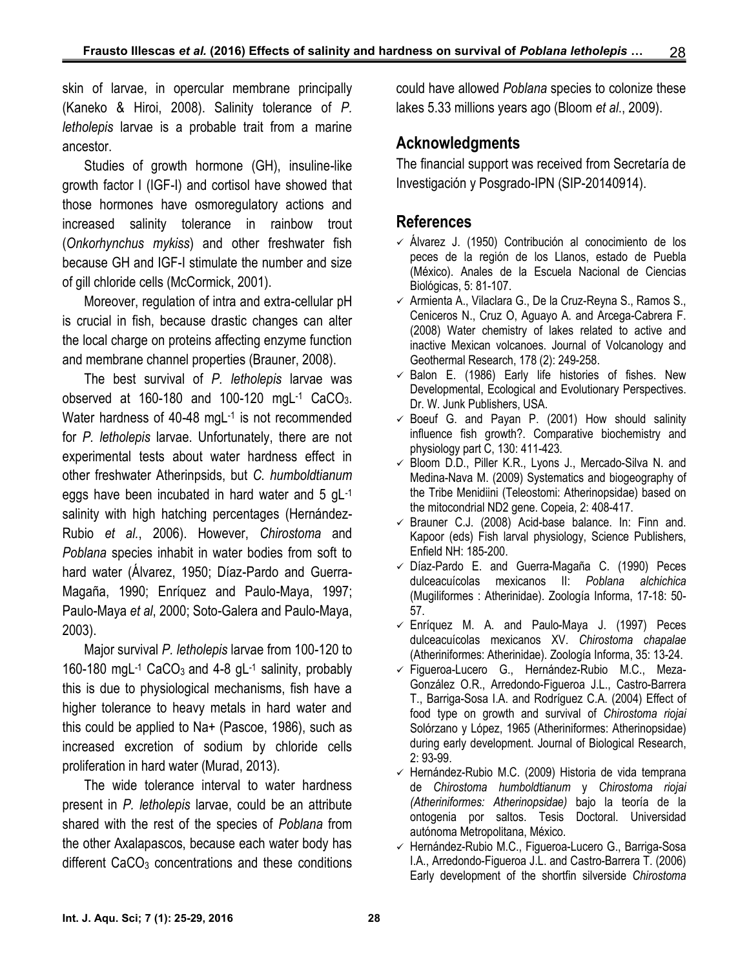skin of larvae, in opercular membrane principally (Kaneko & Hiroi, 2008). Salinity tolerance of *P. letholepis* larvae is a probable trait from a marine ancestor.

Studies of growth hormone (GH), insuline-like growth factor I (IGF-I) and cortisol have showed that those hormones have osmoregulatory actions and increased salinity tolerance in rainbow trout (*Onkorhynchus mykiss*) and other freshwater fish because GH and IGF-I stimulate the number and size of gill chloride cells (McCormick, 2001).

Moreover, regulation of intra and extra-cellular pH is crucial in fish, because drastic changes can alter the local charge on proteins affecting enzyme function and membrane channel properties (Brauner, 2008).

The best survival of *P. letholepis* larvae was observed at 160-180 and 100-120 mgL-1 CaCO<sub>3</sub>. Water hardness of 40-48 mgL<sup>-1</sup> is not recommended www for *P. letholepis* larvae. Unfortunately, there are not experimental tests about water hardness effect in other freshwater Atherinpsids, but *C. humboldtianum* eggs have been incubated in hard water and 5 gL-1 salinity with high hatching percentages (Hernández- Rubio *et al.*, 2006). However, *Chirostoma* and *Poblana* species inhabit in water bodies from soft to hard water (Álvarez, 1950; Díaz-Pardo and Guerra- Magaña, 1990; Enríquez and Paulo-Maya, 1997; Paulo-Maya *et al*, 2000; Soto-Galera and Paulo-Maya, 2003).

Major survival *P. letholepis* larvae from 100-120 to 160-180 mgL<sup>-1</sup> CaCO<sub>3</sub> and 4-8 gL<sup>-1</sup> salinity, probably this is due to physiological mechanisms, fish have a higher tolerance to heavy metals in hard water and this could be applied to Na+ (Pascoe, 1986), such as increased excretion of sodium by chloride cells proliferation in hard water (Murad, 2013).

The wide tolerance interval to water hardness present in *P. letholepis* larvae, could be an attribute shared with the rest of the species of *Poblana* from the other Axalapascos, because each water body has different  $CaCO<sub>3</sub>$  concentrations and these conditions could have allowed *Poblana* species to colonize these lakes 5.33 millions years ago (Bloom *et al*., 2009).

## **Acknowledgments**

The financial support was received from Secretaría de Investigación y Posgrado-IPN (SIP-20140914).

# **References**

- $\checkmark$  Álvarez J. (1950) Contribución al conocimiento de los peces de la región de los Llanos, estado de Puebla (México). Anales de la Escuela Nacional de Ciencias Biológicas, 5: 81-107.
- $\checkmark$  Armienta A., Vilaclara G., De la Cruz-Reyna S., Ramos S., Ceniceros N., Cruz O, Aguayo A. and Arcega-Cabrera F. (2008) Water chemistry of lakes related to active and inactive Mexican volcanoes. Journal of Volcanology and Geothermal Research, 178 (2): 249-258.
- $\checkmark$  Balon E. (1986) Early life histories of fishes. New Developmental, Ecological and Evolutionary Perspectives. Dr. W. Junk Publishers, USA.
- $\checkmark$  Boeuf G. and Payan P. (2001) How should salinity influence fish growth?. Comparative biochemistry and physiology part C, 130: 411-423.
- $\checkmark$  Bloom D.D., Piller K.R., Lyons J., Mercado-Silva N. and Medina-Nava M. (2009) Systematics and biogeography of the Tribe Menidiini (Teleostomi: Atherinopsidae) based on the mitocondrial ND2 gene. Copeia, 2: 408-417.
- $\checkmark$  Brauner C.J. (2008) Acid-base balance. In: Finn and. Kapoor (eds) Fish larval physiology, Science Publishers, Enfield NH: 185-200.
- $\checkmark$  Díaz-Pardo E. and Guerra-Magaña C. (1990) Peces dulceacuícolas mexicanos II: *Poblana alchichica* (Mugiliformes : Atherinidae). Zoología Informa, 17-18: 50- 57.
- $\checkmark$  Enríquez M. A. and Paulo-Maya J. (1997) Peces dulceacuícolas mexicanos XV. *Chirostoma chapalae* (Atheriniformes: Atherinidae). Zoología Informa, 35: 13-24.
- Figueroa-Lucero G., Hernández-Rubio M.C., Meza- González O.R., Arredondo-Figueroa J.L., Castro-Barrera T., Barriga-Sosa I.A. and Rodríguez C.A. (2004) Effect of food type on growth and survival of *Chirostoma riojai* Solórzano y López, 1965 (Atheriniformes: Atherinopsidae) during early development. Journal of Biological Research, 2: 93-99.
- $\checkmark$  Hernández-Rubio M.C. (2009) Historia de vida temprana de *Chirostoma humboldtianum* y *Chirostoma riojai (Atheriniformes: Atherinopsidae)* bajo la teoría de la ontogenia por saltos. Tesis Doctoral. Universidad autónoma Metropolitana, México.
- Hernández-Rubio M.C., Figueroa-Lucero G., Barriga-Sosa I.A., Arredondo-Figueroa J.L. and Castro-Barrera T. (2006) Early development of the shortfin silverside *Chirostoma*